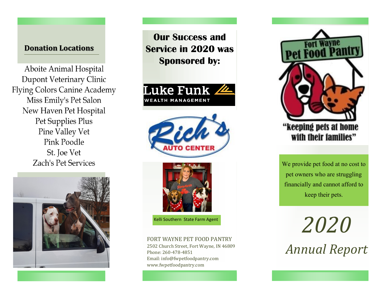### **Donation Locations**

Aboite Animal Hospital Dupont Veterinary Clinic **Flying Colors Canine Academy** Miss Emily's Pet Salon New Haven Pet Hospital Pet Supplies Plus Pine Valley Vet Pink Poodle St. Joe Vet **Zach's Pet Services** 



**Our Success and Service in 2020 was Sponsored by:**







Kelli Southern State Farm Agent

#### FORT WAYNE PET FOOD PANTRY

2502 Church Street, Fort Wayne, IN 46809 Phone: 260-478-4851 Email: info@fwpetfoodpantry.com www.fwpetfoodpantry.com



# "keeping pets at home with their families"

We provide pet food at no cost to pet owners who are struggling financially and cannot afford to keep their pets.

*2020 Annual Report*